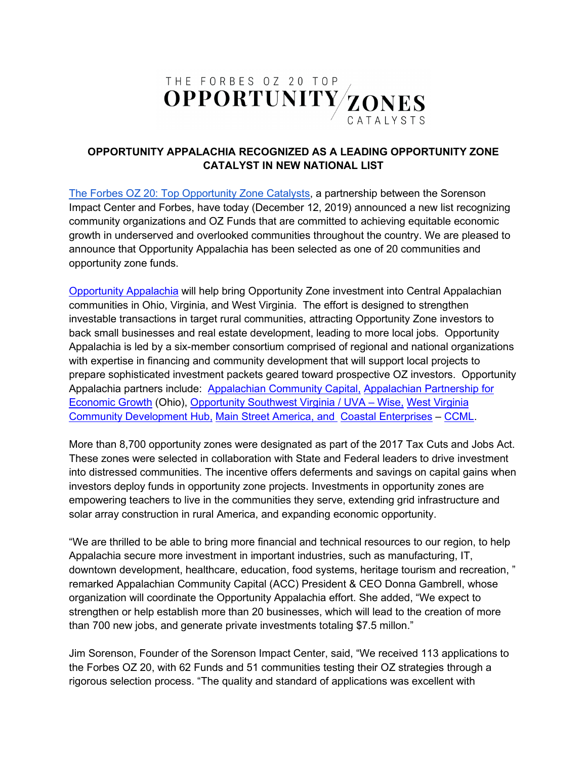

## **OPPORTUNITY APPALACHIA RECOGNIZED AS A LEADING OPPORTUNITY ZONE CATALYST IN NEW NATIONAL LIST**

[The Forbes OZ 20: Top Opportunity Zone Catalysts,](https://ozcatalyst.org/) a partnership between the Sorenson Impact Center and Forbes, have today (December 12, 2019) announced a new list recognizing community organizations and OZ Funds that are committed to achieving equitable economic growth in underserved and overlooked communities throughout the country. We are pleased to announce that Opportunity Appalachia has been selected as one of 20 communities and opportunity zone funds.

[Opportunity Appalachia](http://appalachiancommunitycapitalcdfi.org/oa-program/) will help bring Opportunity Zone investment into Central Appalachian communities in Ohio, Virginia, and West Virginia. The effort is designed to strengthen investable transactions in target rural communities, attracting Opportunity Zone investors to back small businesses and real estate development, leading to more local jobs. Opportunity Appalachia is led by a six-member consortium comprised of regional and national organizations with expertise in financing and community development that will support local projects to prepare sophisticated investment packets geared toward prospective OZ investors. Opportunity Appalachia partners include: [Appalachian Community Capital,](http://appalachiancommunitycapitalcdfi.org/) [Appalachian Partnership for](https://apeg.com/)  [Economic Growth](https://apeg.com/) (Ohio), [Opportunity Southwest Virginia / UVA –](http://www.opportunityswva.org/) Wise, [West Virginia](http://wvhub.org/)  [Community Development Hub,](http://wvhub.org/) [Main Street America,](https://www.mainstreet.org/mainstreetamerica/theprograms) and [Coastal Enterprises](https://www.ceimaine.org/) – [CCML.](https://www.ceicapitalmgmt.com/)

More than 8,700 opportunity zones were designated as part of the 2017 Tax Cuts and Jobs Act. These zones were selected in collaboration with State and Federal leaders to drive investment into distressed communities. The incentive offers deferments and savings on capital gains when investors deploy funds in opportunity zone projects. Investments in opportunity zones are empowering teachers to live in the communities they serve, extending grid infrastructure and solar array construction in rural America, and expanding economic opportunity.

"We are thrilled to be able to bring more financial and technical resources to our region, to help Appalachia secure more investment in important industries, such as manufacturing, IT, downtown development, healthcare, education, food systems, heritage tourism and recreation, " remarked Appalachian Community Capital (ACC) President & CEO Donna Gambrell, whose organization will coordinate the Opportunity Appalachia effort. She added, "We expect to strengthen or help establish more than 20 businesses, which will lead to the creation of more than 700 new jobs, and generate private investments totaling \$7.5 millon."

Jim Sorenson, Founder of the Sorenson Impact Center, said, "We received 113 applications to the Forbes OZ 20, with 62 Funds and 51 communities testing their OZ strategies through a rigorous selection process. "The quality and standard of applications was excellent with